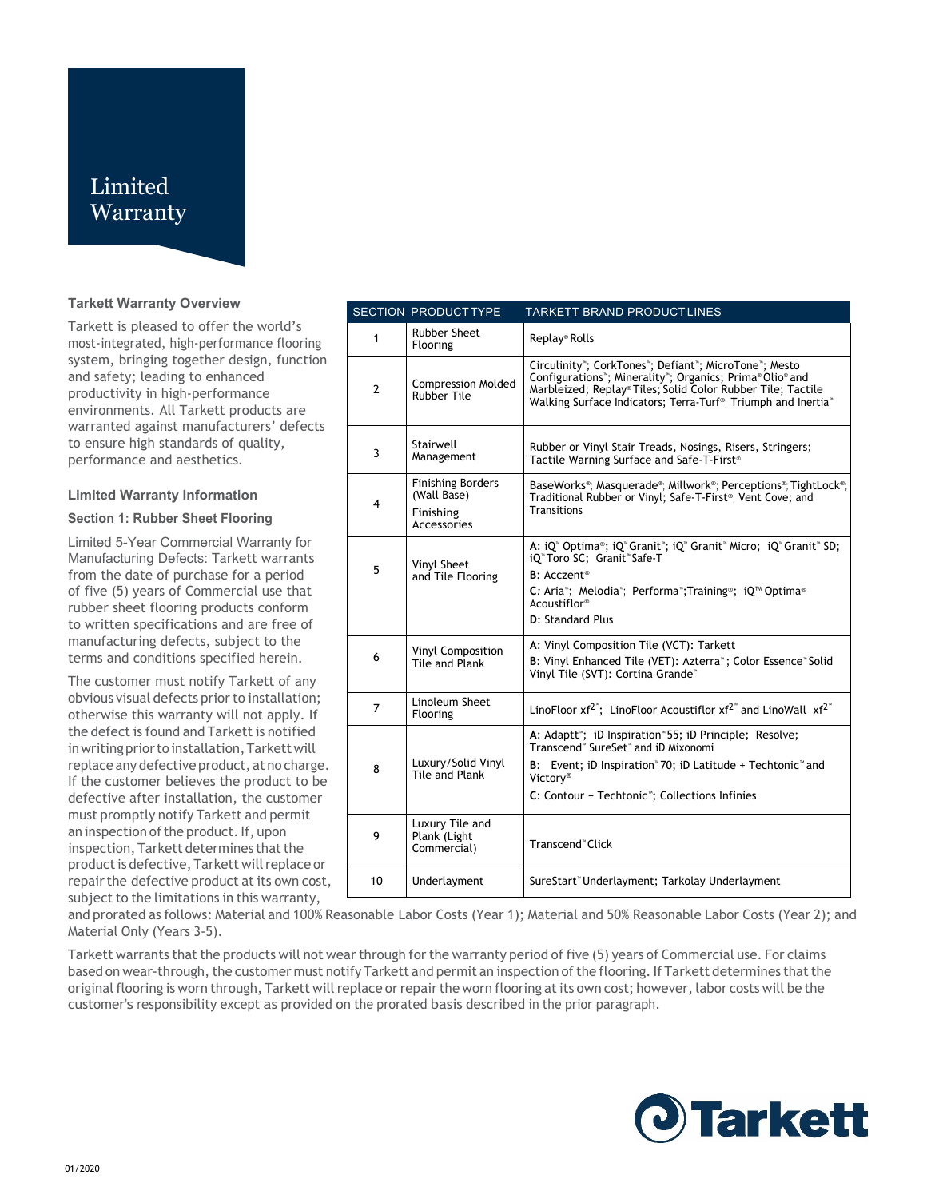# Limited **Warranty**

#### **Tarkett Warranty Overview**

Tarkett is pleased to offer the world's most-integrated, high-performance flooring system, bringing together design, function and safety; leading to enhanced productivity in high-performance environments. All Tarkett products are warranted against manufacturers' defects to ensure high standards of quality, performance and aesthetics.

#### **Limited Warranty Information**

#### **Section 1: Rubber Sheet Flooring**

Limited 5-Year Commercial Warranty for Manufacturing Defects: Tarkett warrants from the date of purchase for a period of five (5) years of Commercial use that rubber sheet flooring products conform to written specifications and are free of manufacturing defects, subject to the terms and conditions specified herein.

The customer must notify Tarkett of any obvious visual defects prior to installation; otherwise this warranty will not apply. If the defect is found and Tarkett is notified in writing prior to installation, Tarkett will replace any defective product, at no charge. If the customer believes the product to be defective after installation, the customer must promptly notify Tarkett and permit an inspection of the product. If, upon inspection, Tarkett determines that the product is defective, Tarkett will replace or repair the defective product at its own cost, subject to the limitations in this warranty,

|                | <b>SECTION PRODUCTTYPE</b>                                          | <b>TARKETT BRAND PRODUCTLINES</b>                                                                                                                                                                                                                                          |
|----------------|---------------------------------------------------------------------|----------------------------------------------------------------------------------------------------------------------------------------------------------------------------------------------------------------------------------------------------------------------------|
| $\mathbf{1}$   | <b>Rubber Sheet</b><br>Flooring                                     | Replay® Rolls                                                                                                                                                                                                                                                              |
| $\overline{2}$ | <b>Compression Molded</b><br><b>Rubber Tile</b>                     | Circulinity"; CorkTones"; Defiant"; MicroTone"; Mesto<br>Configurations"; Minerality"; Organics; Prima® Olio® and<br>Marbleized; Replay® Tiles; Solid Color Rubber Tile; Tactile<br>Walking Surface Indicators: Terra-Turf <sup>®</sup> : Triumph and Inertia <sup>®</sup> |
| 3              | Stairwell<br>Management                                             | Rubber or Vinyl Stair Treads, Nosings, Risers, Stringers;<br>Tactile Warning Surface and Safe-T-First®                                                                                                                                                                     |
| 4              | <b>Finishing Borders</b><br>(Wall Base)<br>Finishing<br>Accessories | BaseWorks <sup>®</sup> ; Masquerade®; Millwork®; Perceptions®; TightLock®;<br>Traditional Rubber or Vinyl; Safe-T-First <sup>®</sup> ; Vent Cove; and<br><b>Transitions</b>                                                                                                |
| 5.             | Vinyl Sheet<br>and Tile Flooring                                    | A: iQ" Optima®; iQ" Granit"; iQ" Granit" Micro; iQ" Granit" SD;<br>iQ <sup>®</sup> Toro SC; Granit <sup>®</sup> Safe-T<br><b>B</b> : Acczent <sup>®</sup><br>C: Aria"; Melodia"; Performa"; Training®; iQ™ Optima®<br>Acoustiflor <sup>®</sup><br>D: Standard Plus         |
| 6              | Vinyl Composition<br>Tile and Plank                                 | A: Vinyl Composition Tile (VCT): Tarkett<br>B: Vinyl Enhanced Tile (VET): Azterra <sup>*</sup> ; Color Essence <sup>*</sup> Solid<br>Vinyl Tile (SVT): Cortina Grande <sup>®</sup>                                                                                         |
| $\overline{7}$ | Linoleum Sheet<br>Flooring                                          | LinoFloor $xf^{2}$ ; LinoFloor Acoustiflor $xf^{2}$ and LinoWall $xf^{2}$                                                                                                                                                                                                  |
| 8              | Luxury/Solid Vinyl<br>Tile and Plank                                | A: Adaptt"; iD Inspiration" 55; iD Principle; Resolve;<br>Transcend <sup>®</sup> SureSet <sup>®</sup> and iD Mixonomi<br>B: Event; iD Inspiration "70; iD Latitude + Techtonic " and<br>Victorv®<br>C: Contour + Techtonic <sup>*</sup> ; Collections Infinies             |
| 9              | Luxury Tile and<br>Plank (Light<br>Commercial)                      | Transcend <sup>®</sup> Click                                                                                                                                                                                                                                               |
| 10             | Underlayment                                                        | SureStart" Underlayment; Tarkolay Underlayment                                                                                                                                                                                                                             |

and prorated as follows: Material and 100% Reasonable Labor Costs (Year 1); Material and 50% Reasonable Labor Costs (Year 2); and Material Only (Years 3-5).

Tarkett warrants that the products will not wear through for the warranty period of five (5) years of Commercial use. For claims based on wear-through, the customer must notify Tarkett and permit an inspection of the flooring. If Tarkett determines that the original flooring is worn through, Tarkett will replace or repair the worn flooring at its own cost; however, labor costs will be the customer's responsibility except as provided on the prorated basis described in the prior paragraph.

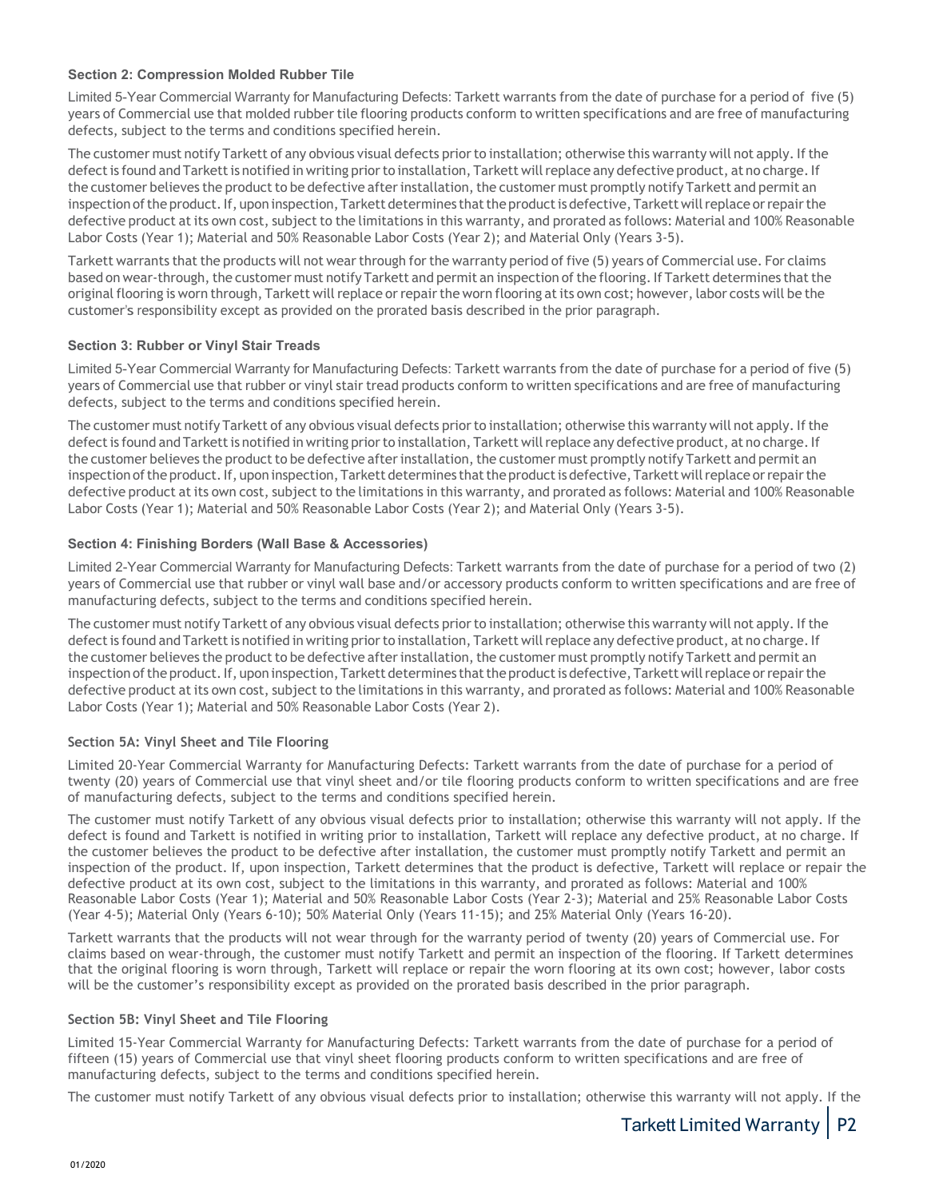## **Section 2: Compression Molded Rubber Tile**

Limited 5-Year Commercial Warranty for Manufacturing Defects: Tarkett warrants from the date of purchase for a period of five (5) years of Commercial use that molded rubber tile flooring products conform to written specifications and are free of manufacturing defects, subject to the terms and conditions specified herein.

The customer must notify Tarkett of any obvious visual defects prior to installation; otherwise this warranty will not apply. If the defect is found and Tarkett is notified in writing prior to installation, Tarkett will replace any defective product, at no charge. If the customer believes the product to be defective after installation, the customer must promptly notify Tarkett and permit an inspection of the product. If, upon inspection, Tarkett determines that the product is defective, Tarkett will replace or repair the defective product at its own cost, subject to the limitations in this warranty, and prorated as follows: Material and 100% Reasonable Labor Costs (Year 1); Material and 50% Reasonable Labor Costs (Year 2); and Material Only (Years 3-5).

Tarkett warrants that the products will not wear through for the warranty period of five (5) years of Commercial use. For claims based on wear-through, the customer must notify Tarkett and permit an inspection of the flooring. If Tarkett determines that the original flooring is worn through, Tarkett will replace or repair the worn flooring at its own cost; however, labor costs will be the customer's responsibility except as provided on the prorated basis described in the prior paragraph.

# **Section 3: Rubber or Vinyl Stair Treads**

Limited 5-Year Commercial Warranty for Manufacturing Defects: Tarkett warrants from the date of purchase for a period of five (5) years of Commercial use that rubber or vinyl stair tread products conform to written specifications and are free of manufacturing defects, subject to the terms and conditions specified herein.

The customer must notify Tarkett of any obvious visual defects prior to installation; otherwise this warranty will not apply. If the defect is found and Tarkett is notified in writing prior to installation, Tarkett will replace any defective product, at no charge. If the customer believes the product to be defective after installation, the customer must promptly notify Tarkett and permit an inspection of the product. If, upon inspection, Tarkett determines that the product is defective, Tarkett will replace or repair the defective product at its own cost, subject to the limitations in this warranty, and prorated as follows: Material and 100% Reasonable Labor Costs (Year 1); Material and 50% Reasonable Labor Costs (Year 2); and Material Only (Years 3-5).

# **Section 4: Finishing Borders (Wall Base & Accessories)**

Limited 2-Year Commercial Warranty for Manufacturing Defects: Tarkett warrants from the date of purchase for a period of two (2) years of Commercial use that rubber or vinyl wall base and/or accessory products conform to written specifications and are free of manufacturing defects, subject to the terms and conditions specified herein.

The customer must notify Tarkett of any obvious visual defects prior to installation; otherwise this warranty will not apply. If the defect is found and Tarkett is notified in writing prior to installation, Tarkett will replace any defective product, at no charge. If the customer believes the product to be defective after installation, the customer must promptly notify Tarkett and permit an inspection of the product. If, upon inspection, Tarkett determines that the product is defective, Tarkett will replace or repair the defective product at its own cost, subject to the limitations in this warranty, and prorated as follows: Material and 100% Reasonable Labor Costs (Year 1); Material and 50% Reasonable Labor Costs (Year 2).

# **Section 5A: Vinyl Sheet and Tile Flooring**

Limited 20-Year Commercial Warranty for Manufacturing Defects: Tarkett warrants from the date of purchase for a period of twenty (20) years of Commercial use that vinyl sheet and/or tile flooring products conform to written specifications and are free of manufacturing defects, subject to the terms and conditions specified herein.

The customer must notify Tarkett of any obvious visual defects prior to installation; otherwise this warranty will not apply. If the defect is found and Tarkett is notified in writing prior to installation, Tarkett will replace any defective product, at no charge. If the customer believes the product to be defective after installation, the customer must promptly notify Tarkett and permit an inspection of the product. If, upon inspection, Tarkett determines that the product is defective, Tarkett will replace or repair the defective product at its own cost, subject to the limitations in this warranty, and prorated as follows: Material and 100% Reasonable Labor Costs (Year 1); Material and 50% Reasonable Labor Costs (Year 2-3); Material and 25% Reasonable Labor Costs (Year 4-5); Material Only (Years 6-10); 50% Material Only (Years 11-15); and 25% Material Only (Years 16-20).

Tarkett warrants that the products will not wear through for the warranty period of twenty (20) years of Commercial use. For claims based on wear-through, the customer must notify Tarkett and permit an inspection of the flooring. If Tarkett determines that the original flooring is worn through, Tarkett will replace or repair the worn flooring at its own cost; however, labor costs will be the customer's responsibility except as provided on the prorated basis described in the prior paragraph.

# **Section 5B: Vinyl Sheet and Tile Flooring**

Limited 15-Year Commercial Warranty for Manufacturing Defects: Tarkett warrants from the date of purchase for a period of fifteen (15) years of Commercial use that vinyl sheet flooring products conform to written specifications and are free of manufacturing defects, subject to the terms and conditions specified herein.

The customer must notify Tarkett of any obvious visual defects prior to installation; otherwise this warranty will not apply. If the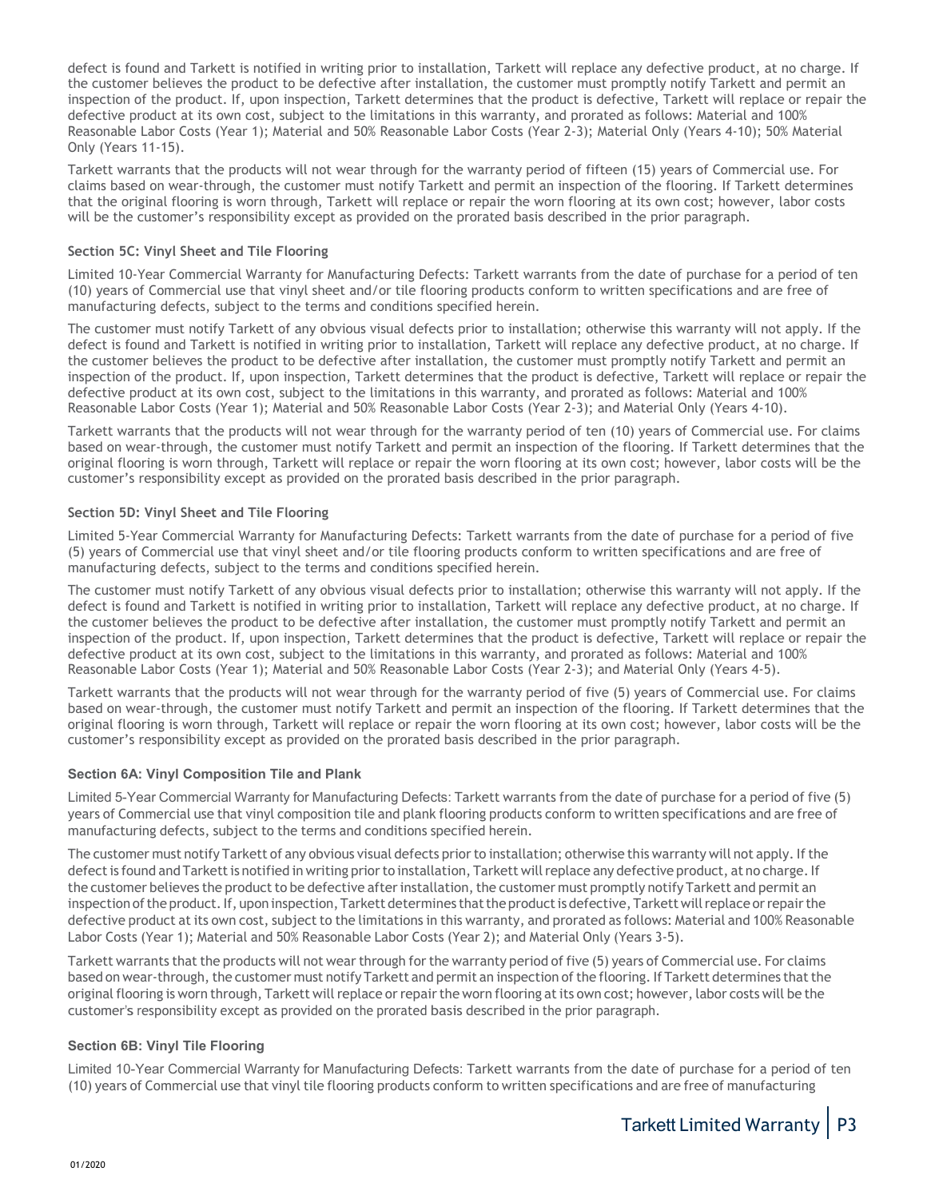defect is found and Tarkett is notified in writing prior to installation, Tarkett will replace any defective product, at no charge. If the customer believes the product to be defective after installation, the customer must promptly notify Tarkett and permit an inspection of the product. If, upon inspection, Tarkett determines that the product is defective, Tarkett will replace or repair the defective product at its own cost, subject to the limitations in this warranty, and prorated as follows: Material and 100% Reasonable Labor Costs (Year 1); Material and 50% Reasonable Labor Costs (Year 2-3); Material Only (Years 4-10); 50% Material Only (Years 11-15).

Tarkett warrants that the products will not wear through for the warranty period of fifteen (15) years of Commercial use. For claims based on wear-through, the customer must notify Tarkett and permit an inspection of the flooring. If Tarkett determines that the original flooring is worn through, Tarkett will replace or repair the worn flooring at its own cost; however, labor costs will be the customer's responsibility except as provided on the prorated basis described in the prior paragraph.

## **Section 5C: Vinyl Sheet and Tile Flooring**

Limited 10-Year Commercial Warranty for Manufacturing Defects: Tarkett warrants from the date of purchase for a period of ten (10) years of Commercial use that vinyl sheet and/or tile flooring products conform to written specifications and are free of manufacturing defects, subject to the terms and conditions specified herein.

The customer must notify Tarkett of any obvious visual defects prior to installation; otherwise this warranty will not apply. If the defect is found and Tarkett is notified in writing prior to installation, Tarkett will replace any defective product, at no charge. If the customer believes the product to be defective after installation, the customer must promptly notify Tarkett and permit an inspection of the product. If, upon inspection, Tarkett determines that the product is defective, Tarkett will replace or repair the defective product at its own cost, subject to the limitations in this warranty, and prorated as follows: Material and 100% Reasonable Labor Costs (Year 1); Material and 50% Reasonable Labor Costs (Year 2-3); and Material Only (Years 4-10).

Tarkett warrants that the products will not wear through for the warranty period of ten (10) years of Commercial use. For claims based on wear-through, the customer must notify Tarkett and permit an inspection of the flooring. If Tarkett determines that the original flooring is worn through, Tarkett will replace or repair the worn flooring at its own cost; however, labor costs will be the customer's responsibility except as provided on the prorated basis described in the prior paragraph.

## **Section 5D: Vinyl Sheet and Tile Flooring**

Limited 5-Year Commercial Warranty for Manufacturing Defects: Tarkett warrants from the date of purchase for a period of five (5) years of Commercial use that vinyl sheet and/or tile flooring products conform to written specifications and are free of manufacturing defects, subject to the terms and conditions specified herein.

The customer must notify Tarkett of any obvious visual defects prior to installation; otherwise this warranty will not apply. If the defect is found and Tarkett is notified in writing prior to installation, Tarkett will replace any defective product, at no charge. If the customer believes the product to be defective after installation, the customer must promptly notify Tarkett and permit an inspection of the product. If, upon inspection, Tarkett determines that the product is defective, Tarkett will replace or repair the defective product at its own cost, subject to the limitations in this warranty, and prorated as follows: Material and 100% Reasonable Labor Costs (Year 1); Material and 50% Reasonable Labor Costs (Year 2-3); and Material Only (Years 4-5).

Tarkett warrants that the products will not wear through for the warranty period of five (5) years of Commercial use. For claims based on wear-through, the customer must notify Tarkett and permit an inspection of the flooring. If Tarkett determines that the original flooring is worn through, Tarkett will replace or repair the worn flooring at its own cost; however, labor costs will be the customer's responsibility except as provided on the prorated basis described in the prior paragraph.

#### **Section 6A: Vinyl Composition Tile and Plank**

Limited 5-Year Commercial Warranty for Manufacturing Defects: Tarkett warrants from the date of purchase for a period of five (5) years of Commercial use that vinyl composition tile and plank flooring products conform to written specifications and are free of manufacturing defects, subject to the terms and conditions specified herein.

The customer must notify Tarkett of any obvious visual defects prior to installation; otherwise this warranty will not apply. If the defect is found and Tarkett is notified in writing prior to installation, Tarkett will replace any defective product, at no charge. If the customer believes the product to be defective after installation, the customer must promptly notify Tarkett and permit an inspection of the product. If, upon inspection, Tarkett determines that the product is defective, Tarkett will replace or repair the defective product at its own cost, subject to the limitations in this warranty, and prorated as follows: Material and 100% Reasonable Labor Costs (Year 1); Material and 50% Reasonable Labor Costs (Year 2); and Material Only (Years 3-5).

Tarkett warrants that the products will not wear through for the warranty period of five (5) years of Commercial use. For claims based on wear-through, the customer must notify Tarkett and permit an inspection of the flooring. If Tarkett determines that the original flooring is worn through, Tarkett will replace or repair the worn flooring at its own cost; however, labor costs will be the customer's responsibility except as provided on the prorated basis described in the prior paragraph.

#### **Section 6B: Vinyl Tile Flooring**

Limited 10-Year Commercial Warranty for Manufacturing Defects: Tarkett warrants from the date of purchase for a period of ten (10) years of Commercial use that vinyl tile flooring products conform to written specifications and are free of manufacturing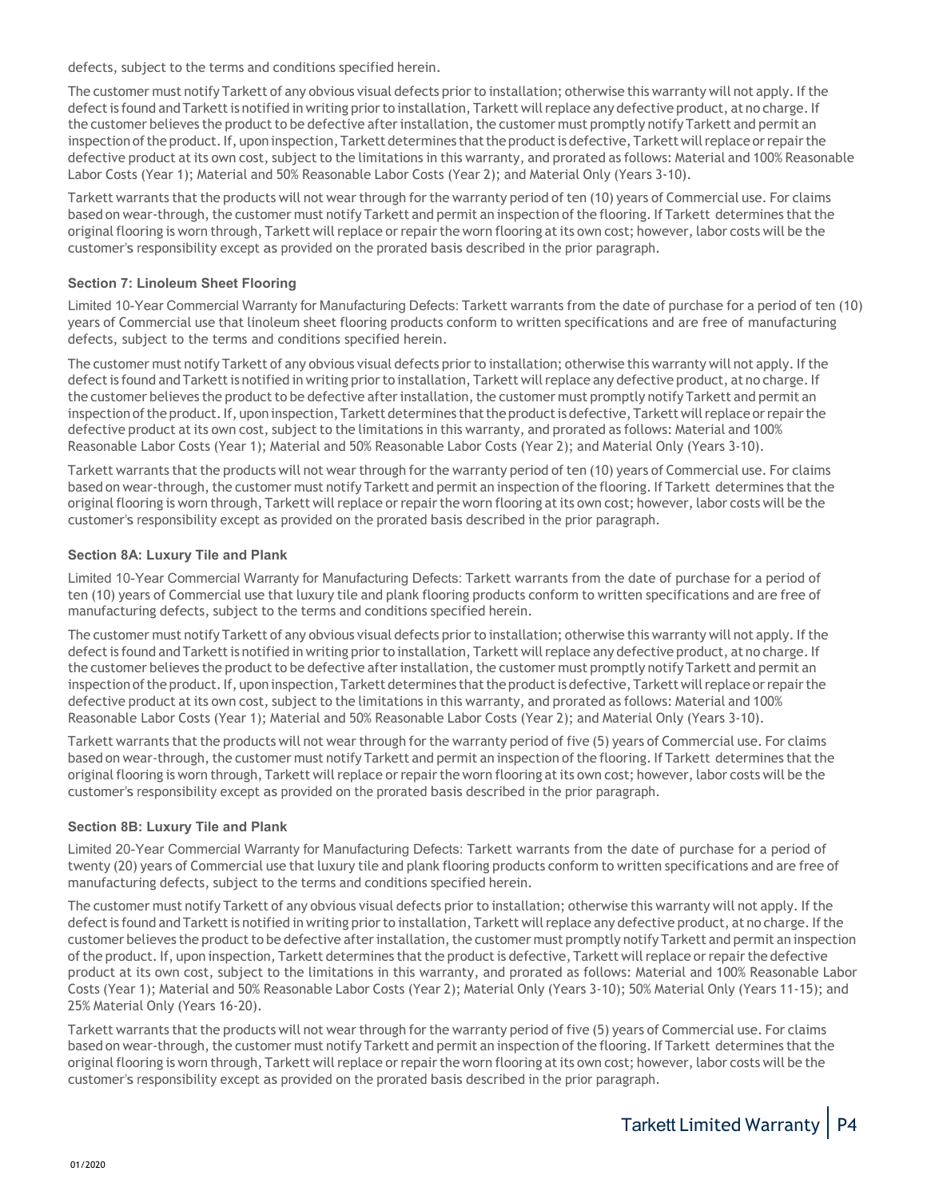defects, subject to the terms and conditions specified herein.

The customer must notify Tarkett of any obvious visual defects prior to installation; otherwise this warranty will not apply. If the defect is found and Tarkett is notified in writing prior to installation, Tarkett will replace any defective product, at no charge. If the customer believes the product to be defective after installation, the customer must promptly notify Tarkett and permit an inspection of the product. If, upon inspection, Tarkett determines that the product is defective, Tarkett will replace or repair the defective product at its own cost, subject to the limitations in this warranty, and prorated as follows: Material and 100% Reasonable Labor Costs (Year 1); Material and 50% Reasonable Labor Costs (Year 2); and Material Only (Years 3-10).

Tarkett warrants that the products will not wear through for the warranty period of ten (10) years of Commercial use. For claims based on wear-through, the customer must notify Tarkett and permit an inspection of the flooring. If Tarkett determines that the original flooring is worn through, Tarkett will replace or repair the worn flooring at its own cost; however, labor costs will be the customer's responsibility except as provided on the prorated basis described in the prior paragraph.

# **Section 7: Linoleum Sheet Flooring**

Limited 10-Year Commercial Warranty for Manufacturing Defects: Tarkett warrants from the date of purchase for a period of ten (10) years of Commercial use that linoleum sheet flooring products conform to written specifications and are free of manufacturing defects, subject to the terms and conditions specified herein.

The customer must notify Tarkett of any obvious visual defects prior to installation; otherwise this warranty will not apply. If the defect is found and Tarkett is notified in writing prior to installation, Tarkett will replace any defective product, at no charge. If the customer believes the product to be defective after installation, the customer must promptly notify Tarkett and permit an inspection of the product. If, upon inspection, Tarkett determines that the product is defective, Tarkett will replace or repair the defective product at its own cost, subject to the limitations in this warranty, and prorated as follows: Material and 100% Reasonable Labor Costs (Year 1); Material and 50% Reasonable Labor Costs (Year 2); and Material Only (Years 3-10).

Tarkett warrants that the products will not wear through for the warranty period of ten (10) years of Commercial use. For claims based on wear-through, the customer must notify Tarkett and permit an inspection of the flooring. If Tarkett determines that the original flooring is worn through, Tarkett will replace or repair the worn flooring at its own cost; however, labor costs will be the customer's responsibility except as provided on the prorated basis described in the prior paragraph.

# **Section 8A: Luxury Tile and Plank**

Limited 10-Year Commercial Warranty for Manufacturing Defects: Tarkett warrants from the date of purchase for a period of ten (10) years of Commercial use that luxury tile and plank flooring products conform to written specifications and are free of manufacturing defects, subject to the terms and conditions specified herein.

The customer must notify Tarkett of any obvious visual defects prior to installation; otherwise this warranty will not apply. If the defect is found and Tarkett is notified in writing prior to installation, Tarkett will replace any defective product, at no charge. If the customer believes the product to be defective after installation, the customer must promptly notify Tarkett and permit an inspection of the product. If, upon inspection, Tarkett determines that the product is defective, Tarkett will replace or repair the defective product at its own cost, subject to the limitations in this warranty, and prorated as follows: Material and 100% Reasonable Labor Costs (Year 1); Material and 50% Reasonable Labor Costs (Year 2); and Material Only (Years 3-10).

Tarkett warrants that the products will not wear through for the warranty period of five (5) years of Commercial use. For claims based on wear-through, the customer must notify Tarkett and permit an inspection of the flooring. If Tarkett determines that the original flooring is worn through, Tarkett will replace or repair the worn flooring at its own cost; however, labor costs will be the customer's responsibility except as provided on the prorated basis described in the prior paragraph.

# **Section 8B: Luxury Tile and Plank**

Limited 20-Year Commercial Warranty for Manufacturing Defects: Tarkett warrants from the date of purchase for a period of twenty (20) years of Commercial use that luxury tile and plank flooring products conform to written specifications and are free of manufacturing defects, subject to the terms and conditions specified herein.

The customer must notify Tarkett of any obvious visual defects prior to installation; otherwise this warranty will not apply. If the defect is found and Tarkett is notified in writing prior to installation, Tarkett will replace any defective product, at no charge. If the customer believes the product to be defective after installation, the customer must promptly notify Tarkett and permit an inspection of the product. If, upon inspection, Tarkett determines that the product is defective, Tarkett will replace or repair the defective product at its own cost, subject to the limitations in this warranty, and prorated as follows: Material and 100% Reasonable Labor Costs (Year 1); Material and 50% Reasonable Labor Costs (Year 2); Material Only (Years 3-10); 50% Material Only (Years 11-15); and 25% Material Only (Years 16-20).

Tarkett warrants that the products will not wear through for the warranty period of five (5) years of Commercial use. For claims based on wear-through, the customer must notify Tarkett and permit an inspection of the flooring. If Tarkett determines that the original flooring is worn through, Tarkett will replace or repair the worn flooring at its own cost; however, labor costs will be the customer's responsibility except as provided on the prorated basis described in the prior paragraph.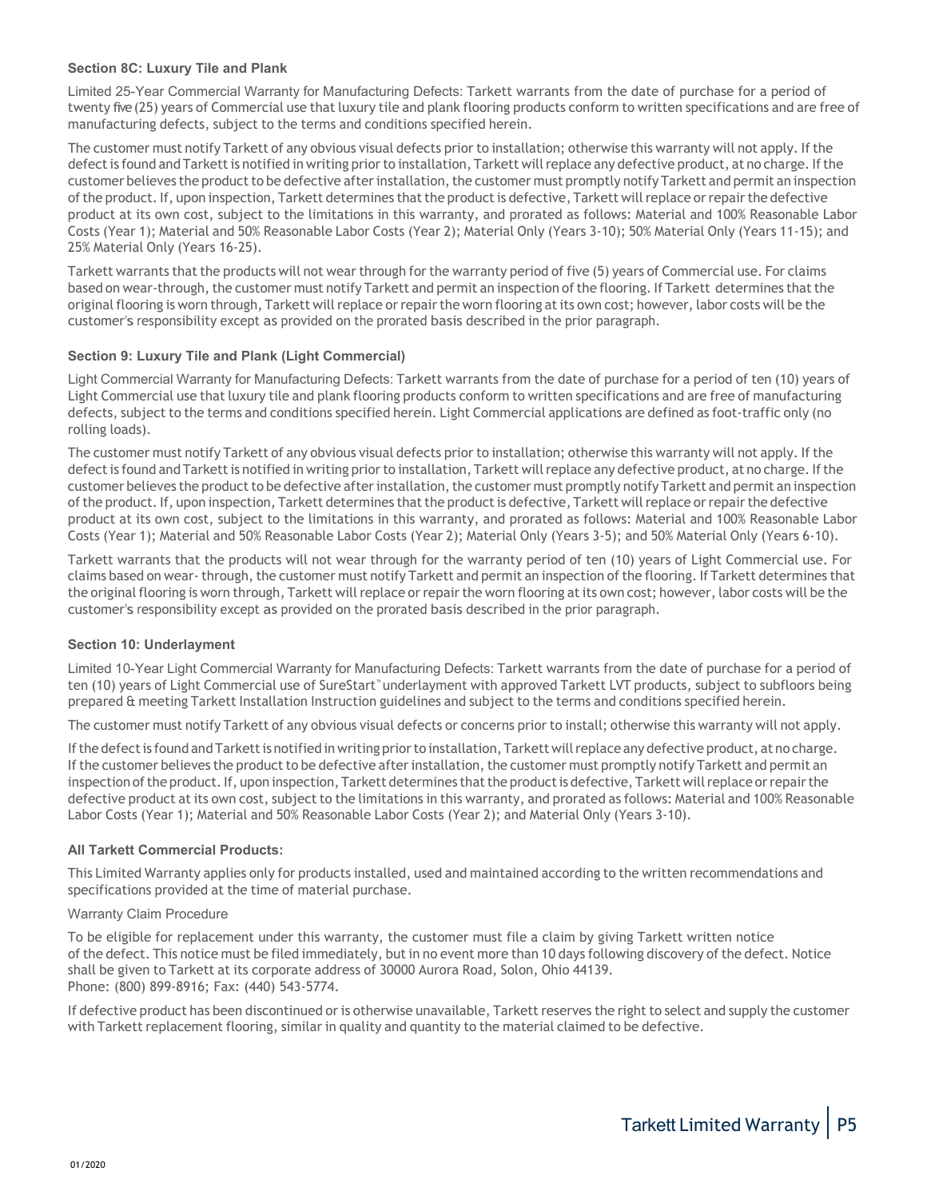## **Section 8C: Luxury Tile and Plank**

Limited 25-Year Commercial Warranty for Manufacturing Defects: Tarkett warrants from the date of purchase for a period of twenty five (25) years of Commercial use that luxury tile and plank flooring products conform to written specifications and are free of manufacturing defects, subject to the terms and conditions specified herein.

The customer must notify Tarkett of any obvious visual defects prior to installation; otherwise this warranty will not apply. If the defect is found and Tarkett is notified in writing prior to installation, Tarkett will replace any defective product, at no charge. If the customer believes the product to be defective after installation, the customer must promptly notify Tarkett and permit an inspection of the product. If, upon inspection, Tarkett determines that the product is defective, Tarkett will replace or repair the defective product at its own cost, subject to the limitations in this warranty, and prorated as follows: Material and 100% Reasonable Labor Costs (Year 1); Material and 50% Reasonable Labor Costs (Year 2); Material Only (Years 3-10); 50% Material Only (Years 11-15); and 25% Material Only (Years 16-25).

Tarkett warrants that the products will not wear through for the warranty period of five (5) years of Commercial use. For claims based on wear-through, the customer must notify Tarkett and permit an inspection of the flooring. If Tarkett determines that the original flooring is worn through, Tarkett will replace or repair the worn flooring at its own cost; however, labor costs will be the customer's responsibility except as provided on the prorated basis described in the prior paragraph.

## **Section 9: Luxury Tile and Plank (Light Commercial)**

Light Commercial Warranty for Manufacturing Defects: Tarkett warrants from the date of purchase for a period of ten (10) years of Light Commercial use that luxury tile and plank flooring products conform to written specifications and are free of manufacturing defects, subject to the terms and conditions specified herein. Light Commercial applications are defined as foot-traffic only (no rolling loads).

The customer must notify Tarkett of any obvious visual defects prior to installation; otherwise this warranty will not apply. If the defect is found and Tarkett is notified in writing prior to installation, Tarkett will replace any defective product, at no charge. If the customer believes the product to be defective after installation, the customer must promptly notify Tarkett and permit an inspection of the product. If, upon inspection, Tarkett determines that the product is defective, Tarkett will replace or repair the defective product at its own cost, subject to the limitations in this warranty, and prorated as follows: Material and 100% Reasonable Labor Costs (Year 1); Material and 50% Reasonable Labor Costs (Year 2); Material Only (Years 3-5); and 50% Material Only (Years 6-10).

Tarkett warrants that the products will not wear through for the warranty period of ten (10) years of Light Commercial use. For claims based on wear- through, the customer must notify Tarkett and permit an inspection of the flooring. If Tarkett determines that the original flooring is worn through, Tarkett will replace or repair the worn flooring at its own cost; however, labor costs will be the customer's responsibility except as provided on the prorated basis described in the prior paragraph.

#### **Section 10: Underlayment**

Limited 10-Year Light Commercial Warranty for Manufacturing Defects: Tarkett warrants from the date of purchase for a period of ten (10) years of Light Commercial use of SureStart™ underlayment with approved Tarkett LVT products, subject to subfloors being prepared & meeting Tarkett Installation Instruction guidelines and subject to the terms and conditions specified herein.

The customer must notify Tarkett of any obvious visual defects or concerns prior to install; otherwise this warranty will not apply.

If the defect is found and Tarkett is notified in writing prior to installation, Tarkett will replace any defective product, at no charge. If the customer believes the product to be defective after installation, the customer must promptly notify Tarkett and permit an inspection of the product. If, upon inspection, Tarkett determines that the product is defective, Tarkett will replace or repair the defective product at its own cost, subject to the limitations in this warranty, and prorated as follows: Material and 100% Reasonable Labor Costs (Year 1); Material and 50% Reasonable Labor Costs (Year 2); and Material Only (Years 3-10).

#### **All Tarkett Commercial Products:**

This Limited Warranty applies only for products installed, used and maintained according to the written recommendations and specifications provided at the time of material purchase.

#### Warranty Claim Procedure

To be eligible for replacement under this warranty, the customer must file a claim by giving Tarkett written notice of the defect. This notice must be filed immediately, but in no event more than 10 days following discovery of the defect. Notice shall be given to Tarkett at its corporate address of 30000 Aurora Road, Solon, Ohio 44139. Phone: (800) 899-8916; Fax: (440) 543-5774.

If defective product has been discontinued or is otherwise unavailable, Tarkett reserves the right to select and supply the customer with Tarkett replacement flooring, similar in quality and quantity to the material claimed to be defective.